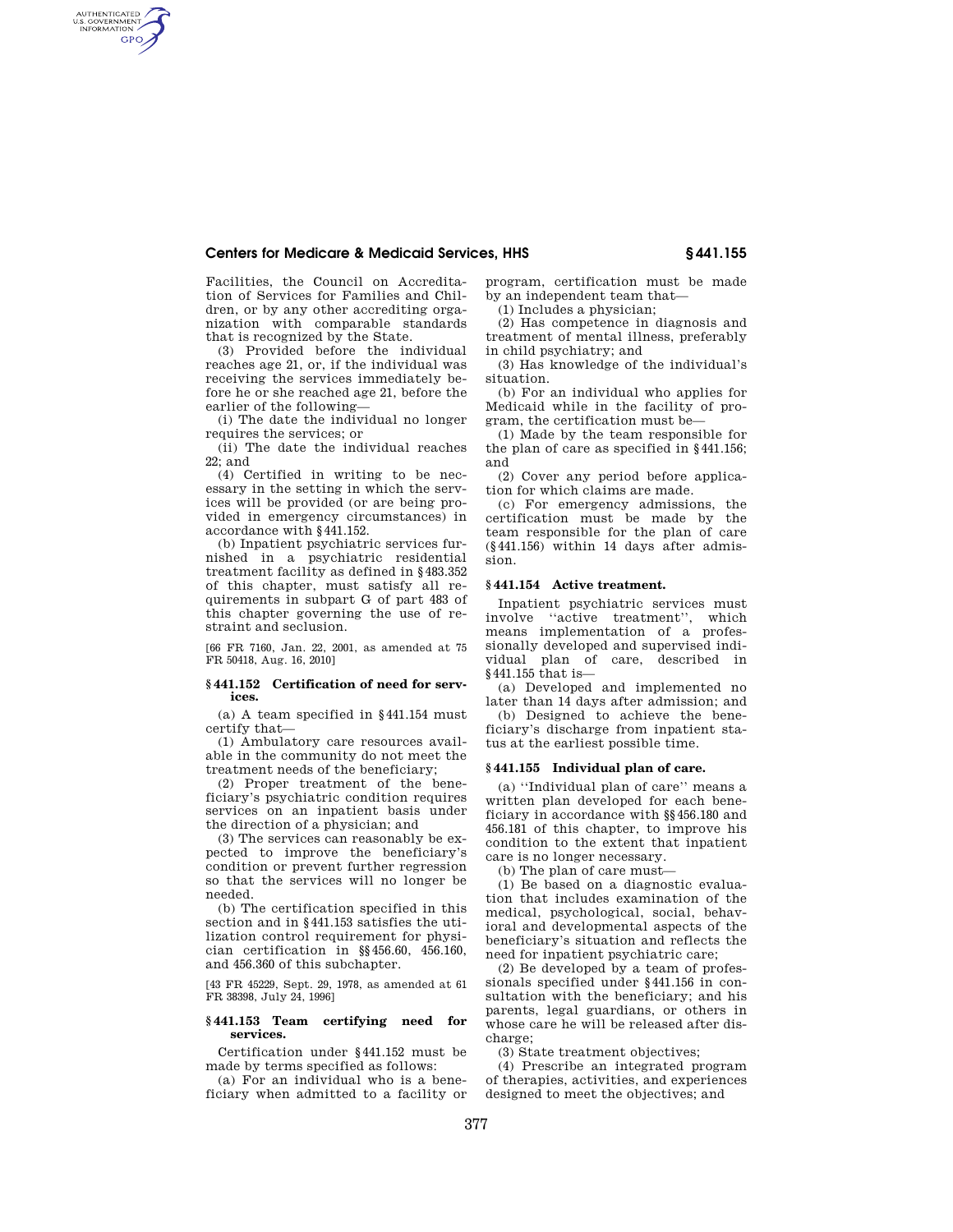# **Centers for Medicare & Medicaid Services, HHS § 441.155**

Facilities, the Council on Accreditation of Services for Families and Children, or by any other accrediting organization with comparable standards that is recognized by the State.

AUTHENTICATED<br>U.S. GOVERNMENT<br>INFORMATION **GPO** 

> (3) Provided before the individual reaches age 21, or, if the individual was receiving the services immediately before he or she reached age 21, before the earlier of the following—

> (i) The date the individual no longer requires the services; or

> (ii) The date the individual reaches 22; and

> (4) Certified in writing to be necessary in the setting in which the services will be provided (or are being provided in emergency circumstances) in accordance with §441.152.

> (b) Inpatient psychiatric services furnished in a psychiatric residential treatment facility as defined in §483.352 of this chapter, must satisfy all requirements in subpart G of part 483 of this chapter governing the use of restraint and seclusion.

> [66 FR 7160, Jan. 22, 2001, as amended at 75 FR 50418, Aug. 16, 2010]

### **§ 441.152 Certification of need for services.**

(a) A team specified in §441.154 must certify that—

(1) Ambulatory care resources available in the community do not meet the treatment needs of the beneficiary;

(2) Proper treatment of the beneficiary's psychiatric condition requires services on an inpatient basis under the direction of a physician; and

(3) The services can reasonably be expected to improve the beneficiary's condition or prevent further regression so that the services will no longer be needed.

(b) The certification specified in this section and in §441.153 satisfies the utilization control requirement for physician certification in §§456.60, 456.160, and 456.360 of this subchapter.

[43 FR 45229, Sept. 29, 1978, as amended at 61 FR 38398, July 24, 1996]

#### **§ 441.153 Team certifying need for services.**

Certification under §441.152 must be made by terms specified as follows:

(a) For an individual who is a beneficiary when admitted to a facility or program, certification must be made by an independent team that—

(1) Includes a physician;

(2) Has competence in diagnosis and treatment of mental illness, preferably in child psychiatry; and

(3) Has knowledge of the individual's situation.

(b) For an individual who applies for Medicaid while in the facility of program, the certification must be—

(1) Made by the team responsible for the plan of care as specified in §441.156; and

(2) Cover any period before application for which claims are made.

(c) For emergency admissions, the certification must be made by the team responsible for the plan of care (§441.156) within 14 days after admission.

# **§ 441.154 Active treatment.**

Inpatient psychiatric services must involve ''active treatment'', which means implementation of a professionally developed and supervised individual plan of care, described in §441.155 that is—

(a) Developed and implemented no later than 14 days after admission; and

(b) Designed to achieve the beneficiary's discharge from inpatient status at the earliest possible time.

# **§ 441.155 Individual plan of care.**

(a) ''Individual plan of care'' means a written plan developed for each beneficiary in accordance with §§456.180 and 456.181 of this chapter, to improve his condition to the extent that inpatient care is no longer necessary.

(b) The plan of care must—

(1) Be based on a diagnostic evaluation that includes examination of the medical, psychological, social, behavioral and developmental aspects of the beneficiary's situation and reflects the need for inpatient psychiatric care;

(2) Be developed by a team of professionals specified under §441.156 in consultation with the beneficiary; and his parents, legal guardians, or others in whose care he will be released after discharge;

(3) State treatment objectives;

(4) Prescribe an integrated program of therapies, activities, and experiences designed to meet the objectives; and